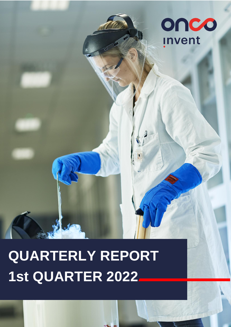

# **QUARTERLY REPORT 1st QUARTER 2022**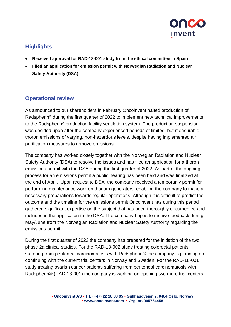

# **Highlights**

- **Received approval for RAD-18-001 study from the ethical committee in Spain**
- **Filed an application for emission permit with Norwegian Radiation and Nuclear Safety Authority (DSA)**

## **Operational review**

As announced to our shareholders in February Oncoinvent halted production of Radspherin<sup>®</sup> during the first quarter of 2022 to implement new technical improvements to the Radspherin® production facility ventilation system. The production suspension was decided upon after the company experienced periods of limited, but measurable thoron emissions of varying, non-hazardous levels, despite having implemented air purification measures to remove emissions.

The company has worked closely together with the Norwegian Radiation and Nuclear Safety Authority (DSA) to resolve the issues and has filed an application for a thoron emissions permit with the DSA during the first quarter of 2022. As part of the ongoing process for an emissions permit a public hearing has been held and was finalized at the end of April. Upon request to DSA, the company received a temporarily permit for performing maintenance work on thorium generators, enabling the company to make all necessary preparations towards regular operations. Although it is difficult to predict the outcome and the timeline for the emissions permit Oncoinvent has during this period gathered significant expertise on the subject that has been thoroughly documented and included in the application to the DSA. The company hopes to receive feedback during May/June from the Norwegian Radiation and Nuclear Safety Authority regarding the emissions permit.

During the first quarter of 2022 the company has prepared for the initiation of the two phase 2a clinical studies. For the RAD-18-002 study treating colorectal patients suffering from peritoneal carcinomatosis with Radspherin® the company is planning on continuing with the current trial centers in Norway and Sweden. For the RAD-18-001 study treating ovarian cancer patients suffering from peritoneal carcinomatosis with Radspherin® (RAD-18-001) the company is working on opening two more trial centers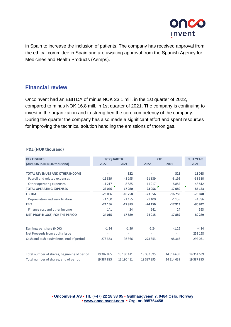

in Spain to increase the inclusion of patients. The company has received approval from the ethical committee in Spain and are awaiting approval from the Spanish Agency for Medicines and Health Products (Aemps).

## **Financial review**

Oncoinvent had an EBITDA of minus NOK 23,1 mill. in the 1st quarter of 2022, compared to minus NOK 16.8 mill. in 1st quarter of 2021. The company is continuing to invest in the organization and to strengthen the core competency of the company. During the quarter the company has also made a significant effort and spent resources for improving the technical solution handling the emissions of thoron gas.

#### **P&L (NOK thousand)**

| <b>KEY FIGURES</b>                          | <b>1st QUARTER</b> |            | <b>YTD</b> |            | <b>FULL YEAR</b> |
|---------------------------------------------|--------------------|------------|------------|------------|------------------|
| (AMOUNTS IN NOK thousand)                   | 2022               | 2021       | 2022       | 2021       | 2021             |
|                                             |                    |            |            |            |                  |
| <b>TOTAL REVENUES AND OTHER INCOME</b>      |                    | 322        |            | 322        | 11083            |
| Payroll and related expenses                | $-11839$           | $-8195$    | $-11839$   | $-8195$    | $-38310$         |
| Other operating expenses                    | $-11217$           | $-8885$    | $-11217$   | $-8885$    | $-48812$         |
| <b>TOTAL OPERATING EXPENSES</b>             | $-23056$           | $-17080$   | $-23056$   | $-17080$   | $-87123$         |
| <b>EBITDA</b>                               | $-23056$           | $-16758$   | $-23056$   | $-16758$   | $-76040$         |
| Depreciation and amortization               | $-1100$            | $-1155$    | $-1100$    | $-1155$    | $-4786$          |
| <b>EBIT</b>                                 | $-24156$           | $-17913$   | $-24156$   | $-17913$   | $-80842$         |
| Finance cost and other income               | 141                | 24         | 141        | 24         | 553              |
| <b>NET PROFIT(LOSS) FOR THE PERIOD</b>      | $-24015$           | $-17889$   | $-24015$   | $-17889$   | $-80289$         |
|                                             |                    |            |            |            |                  |
|                                             |                    |            |            |            |                  |
| Earnings per share (NOK)                    | $-1,24$            | $-1,36$    | $-1,24$    | $-1,25$    | $-4,14$          |
| Net Proceeds from equity issue              |                    |            |            |            | 253 158          |
| Cash and cash equivalents, end of period    | 273 353            | 98 3 66    | 273 353    | 98 3 66    | 292 031          |
|                                             |                    |            |            |            |                  |
|                                             |                    |            |            |            |                  |
| Total number of shares, beginning of period | 19 387 895         | 13 190 411 | 19 387 895 | 14 314 639 | 14 314 639       |
| Total number of shares, end of period       | 19 387 895         | 13 190 411 | 19 387 895 | 14 314 639 | 19 387 895       |

**• Oncoinvent AS • Tlf: (+47) 22 18 33 05 • Gullhaugveien 7, 0484 Oslo, Norway • [www.oncoinvent.com](http://www.oncoinvent.com/) • Org. nr. 995764458**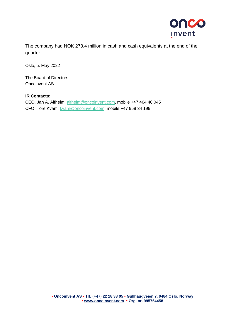

The company had NOK 273.4 million in cash and cash equivalents at the end of the quarter.

Oslo, 5. May 2022

The Board of Directors Oncoinvent AS

### **IR Contacts:**

CEO, Jan A. Alfheim, [alfheim@oncoinvent.com,](mailto:alfheim@oncoinvent.com) mobile +47 464 40 045 CFO, Tore Kvam, [kvam@oncoinvent.com,](mailto:kvam@oncoinvent.com) mobile +47 959 34 199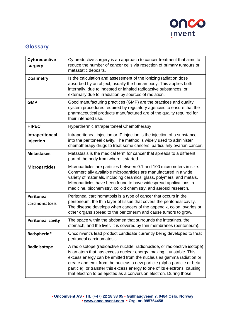

# **Glossary**

| Cytoreductive<br>surgery            | Cytoreductive surgery is an approach to cancer treatment that aims to<br>reduce the number of cancer cells via resection of primary tumours or<br>metastatic deposits.                                                                                                                                                                                                                                                                                  |
|-------------------------------------|---------------------------------------------------------------------------------------------------------------------------------------------------------------------------------------------------------------------------------------------------------------------------------------------------------------------------------------------------------------------------------------------------------------------------------------------------------|
| <b>Dosimetry</b>                    | Is the calculation and assessment of the ionizing radiation dose<br>absorbed by an object, usually the human body. This applies both<br>internally, due to ingested or inhaled radioactive substances, or<br>externally due to irradiation by sources of radiation.                                                                                                                                                                                     |
| <b>GMP</b>                          | Good manufacturing practices (GMP) are the practices and quality<br>system procedures required by regulatory agencies to ensure that the<br>pharmaceutical products manufactured are of the quality required for<br>their intended use.                                                                                                                                                                                                                 |
| <b>HIPEC</b>                        | Hyperthermic Intraperitoneal Chemotherapy                                                                                                                                                                                                                                                                                                                                                                                                               |
| Intraperitoneal<br>injection        | Intraperitoneal injection or IP injection is the injection of a substance<br>into the peritoneal cavity. The method is widely used to administer<br>chemotherapy drugs to treat some cancers, particularly ovarian cancer.                                                                                                                                                                                                                              |
| <b>Metastases</b>                   | Metastasis is the medical term for cancer that spreads to a different<br>part of the body from where it started.                                                                                                                                                                                                                                                                                                                                        |
| <b>Microparticles</b>               | Microparticles are particles between 0.1 and 100 micrometers in size.<br>Commercially available microparticles are manufactured in a wide<br>variety of materials, including ceramics, glass, polymers, and metals.<br>Microparticles have been found to have widespread applications in<br>medicine, biochemistry, colloid chemistry, and aerosol research.                                                                                            |
| <b>Peritoneal</b><br>carcinomatosis | Peritoneal carcinomatosis is a type of cancer that occurs in the<br>peritoneum, the thin layer of tissue that covers the peritoneal cavity.<br>The disease develops when cancers of the appendix, colon, ovaries or<br>other organs spread to the peritoneum and cause tumors to grow.                                                                                                                                                                  |
| <b>Peritoneal cavity</b>            | The space within the abdomen that surrounds the intestines, the<br>stomach, and the liver. It is covered by thin membranes (peritoneum).                                                                                                                                                                                                                                                                                                                |
| Radspherin®                         | Oncoinvent's lead product candidate currently being developed to treat<br>peritoneal carcinomatosis                                                                                                                                                                                                                                                                                                                                                     |
| Radioisotope                        | A radioisotope (radioactive nuclide, radionuclide, or radioactive isotope)<br>is an atom that has excess nuclear energy, making it unstable. This<br>excess energy can be emitted from the nucleus as gamma radiation or<br>create and emit from the nucleus a new particle (alpha particle or beta<br>particle), or transfer this excess energy to one of its electrons, causing<br>that electron to be ejected as a conversion electron. During those |